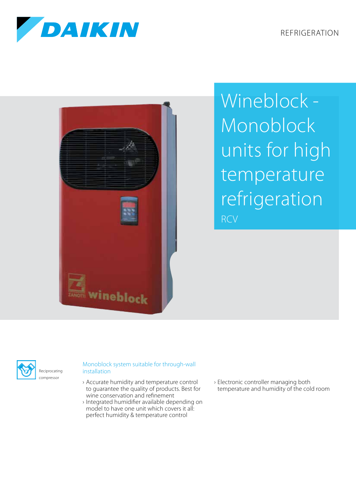





Wineblock -Monoblock units for high temperature refrigeration RCV



## Monoblock system suitable for through-wall installation

- › Accurate humidity and temperature control to guarantee the quality of products. Best for wine conservation and refinement
- › Integrated humidifier available depending on model to have one unit which covers it all: perfect humidity & temperature control
- › Electronic controller managing both temperature and humidity of the cold room